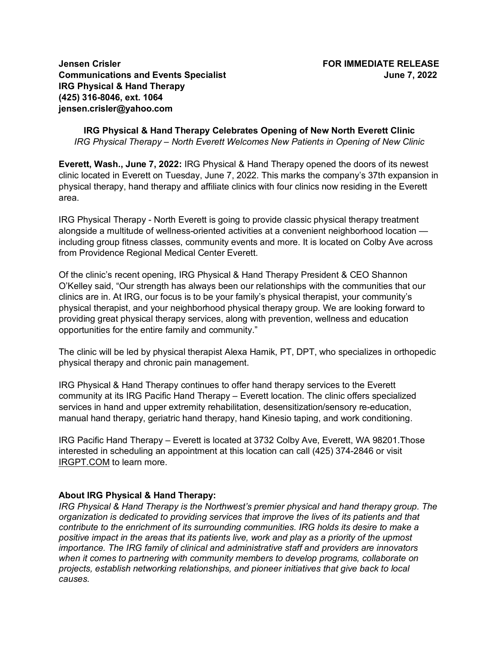**Jensen Crisler FOR IMMEDIATE RELEASE Communications and Events Specialist June 7, 2022 IRG Physical & Hand Therapy (425) 316-8046, ext. 1064 jensen.crisler@yahoo.com**

**IRG Physical & Hand Therapy Celebrates Opening of New North Everett Clinic** *IRG Physical Therapy – North Everett Welcomes New Patients in Opening of New Clinic*

**Everett, Wash., June 7, 2022:** IRG Physical & Hand Therapy opened the doors of its newest clinic located in Everett on Tuesday, June 7, 2022. This marks the company's 37th expansion in physical therapy, hand therapy and affiliate clinics with four clinics now residing in the Everett area.

IRG Physical Therapy - North Everett is going to provide classic physical therapy treatment alongside a multitude of wellness-oriented activities at a convenient neighborhood location including group fitness classes, community events and more. It is located on Colby Ave across from Providence Regional Medical Center Everett.

Of the clinic's recent opening, IRG Physical & Hand Therapy President & CEO Shannon O'Kelley said, "Our strength has always been our relationships with the communities that our clinics are in. At IRG, our focus is to be your family's physical therapist, your community's physical therapist, and your neighborhood physical therapy group. We are looking forward to providing great physical therapy services, along with prevention, wellness and education opportunities for the entire family and community."

The clinic will be led by physical therapist Alexa Hamik, PT, DPT, who specializes in orthopedic physical therapy and chronic pain management.

IRG Physical & Hand Therapy continues to offer hand therapy services to the Everett community at its IRG Pacific Hand Therapy – Everett location. The clinic offers specialized services in hand and upper extremity rehabilitation, desensitization/sensory re-education, manual hand therapy, geriatric hand therapy, hand Kinesio taping, and work conditioning.

IRG Pacific Hand Therapy – Everett is located at 3732 Colby Ave, Everett, WA 98201.Those interested in scheduling an appointment at this location can call (425) 374-2846 or visit IRGPT.COM to learn more.

## **About IRG Physical & Hand Therapy:**

*IRG Physical & Hand Therapy is the Northwest's premier physical and hand therapy group. The organization is dedicated to providing services that improve the lives of its patients and that contribute to the enrichment of its surrounding communities. IRG holds its desire to make a positive impact in the areas that its patients live, work and play as a priority of the upmost importance. The IRG family of clinical and administrative staff and providers are innovators when it comes to partnering with community members to develop programs, collaborate on projects, establish networking relationships, and pioneer initiatives that give back to local causes.*